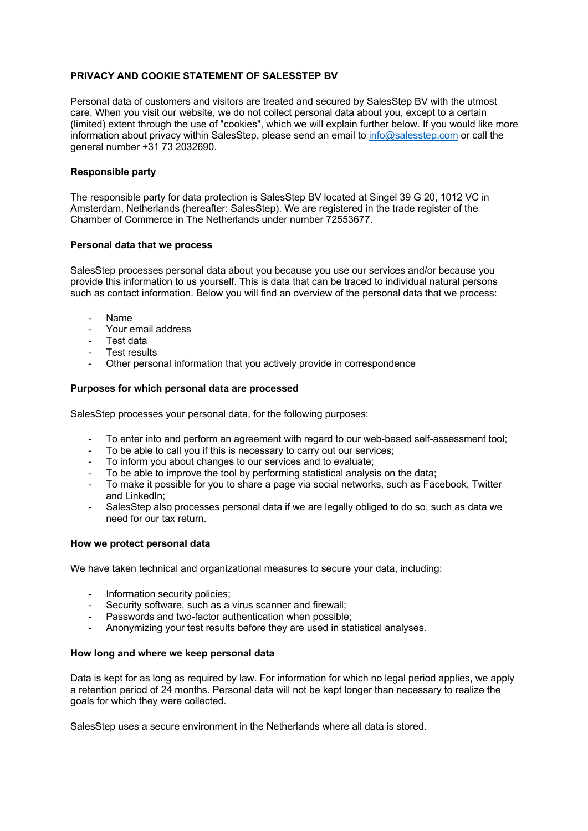# **PRIVACY AND COOKIE STATEMENT OF SALESSTEP BV**

Personal data of customers and visitors are treated and secured by SalesStep BV with the utmost care. When you visit our website, we do not collect personal data about you, except to a certain (limited) extent through the use of "cookies", which we will explain further below. If you would like more information about privacy within SalesStep, please send an email to info@salesstep.com or call the general number +31 73 2032690.

# **Responsible party**

The responsible party for data protection is SalesStep BV located at Singel 39 G 20, 1012 VC in Amsterdam, Netherlands (hereafter: SalesStep). We are registered in the trade register of the Chamber of Commerce in The Netherlands under number 72553677.

### **Personal data that we process**

SalesStep processes personal data about you because you use our services and/or because you provide this information to us yourself. This is data that can be traced to individual natural persons such as contact information. Below you will find an overview of the personal data that we process:

- Name
- Your email address
- Test data
- Test results
- Other personal information that you actively provide in correspondence

### **Purposes for which personal data are processed**

SalesStep processes your personal data, for the following purposes:

- To enter into and perform an agreement with regard to our web-based self-assessment tool;
- To be able to call you if this is necessary to carry out our services;
- To inform you about changes to our services and to evaluate;
- To be able to improve the tool by performing statistical analysis on the data;
- To make it possible for you to share a page via social networks, such as Facebook, Twitter and LinkedIn;
- SalesStep also processes personal data if we are legally obliged to do so, such as data we need for our tax return.

#### **How we protect personal data**

We have taken technical and organizational measures to secure your data, including:

- Information security policies;
- Security software, such as a virus scanner and firewall;
- Passwords and two-factor authentication when possible;
- Anonymizing your test results before they are used in statistical analyses.

#### **How long and where we keep personal data**

Data is kept for as long as required by law. For information for which no legal period applies, we apply a retention period of 24 months. Personal data will not be kept longer than necessary to realize the goals for which they were collected.

SalesStep uses a secure environment in the Netherlands where all data is stored.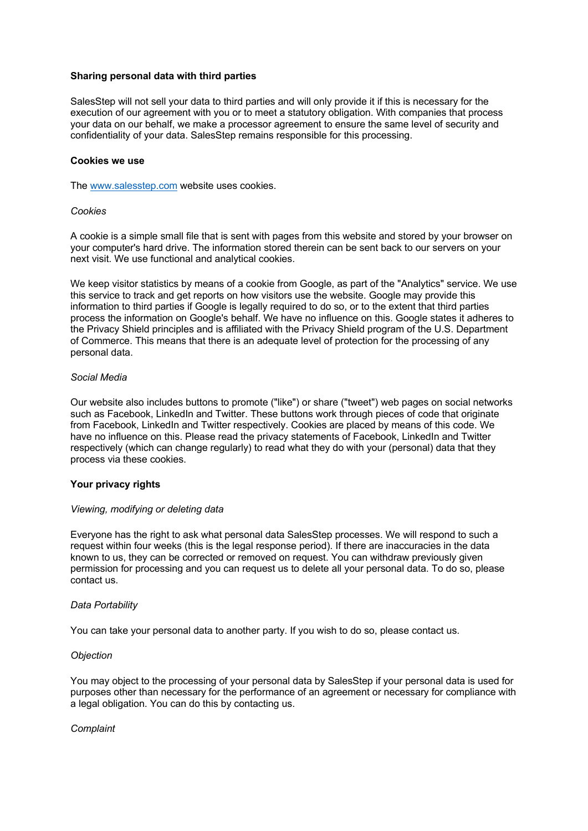### **Sharing personal data with third parties**

SalesStep will not sell your data to third parties and will only provide it if this is necessary for the execution of our agreement with you or to meet a statutory obligation. With companies that process your data on our behalf, we make a processor agreement to ensure the same level of security and confidentiality of your data. SalesStep remains responsible for this processing.

### **Cookies we use**

The www.salesstep.com website uses cookies.

### *Cookies*

A cookie is a simple small file that is sent with pages from this website and stored by your browser on your computer's hard drive. The information stored therein can be sent back to our servers on your next visit. We use functional and analytical cookies.

We keep visitor statistics by means of a cookie from Google, as part of the "Analytics" service. We use this service to track and get reports on how visitors use the website. Google may provide this information to third parties if Google is legally required to do so, or to the extent that third parties process the information on Google's behalf. We have no influence on this. Google states it adheres to the Privacy Shield principles and is affiliated with the Privacy Shield program of the U.S. Department of Commerce. This means that there is an adequate level of protection for the processing of any personal data.

### *Social Media*

Our website also includes buttons to promote ("like") or share ("tweet") web pages on social networks such as Facebook, LinkedIn and Twitter. These buttons work through pieces of code that originate from Facebook, LinkedIn and Twitter respectively. Cookies are placed by means of this code. We have no influence on this. Please read the privacy statements of Facebook, LinkedIn and Twitter respectively (which can change regularly) to read what they do with your (personal) data that they process via these cookies.

# **Your privacy rights**

# *Viewing, modifying or deleting data*

Everyone has the right to ask what personal data SalesStep processes. We will respond to such a request within four weeks (this is the legal response period). If there are inaccuracies in the data known to us, they can be corrected or removed on request. You can withdraw previously given permission for processing and you can request us to delete all your personal data. To do so, please contact us.

# *Data Portability*

You can take your personal data to another party. If you wish to do so, please contact us.

# *Objection*

You may object to the processing of your personal data by SalesStep if your personal data is used for purposes other than necessary for the performance of an agreement or necessary for compliance with a legal obligation. You can do this by contacting us.

# *Complaint*